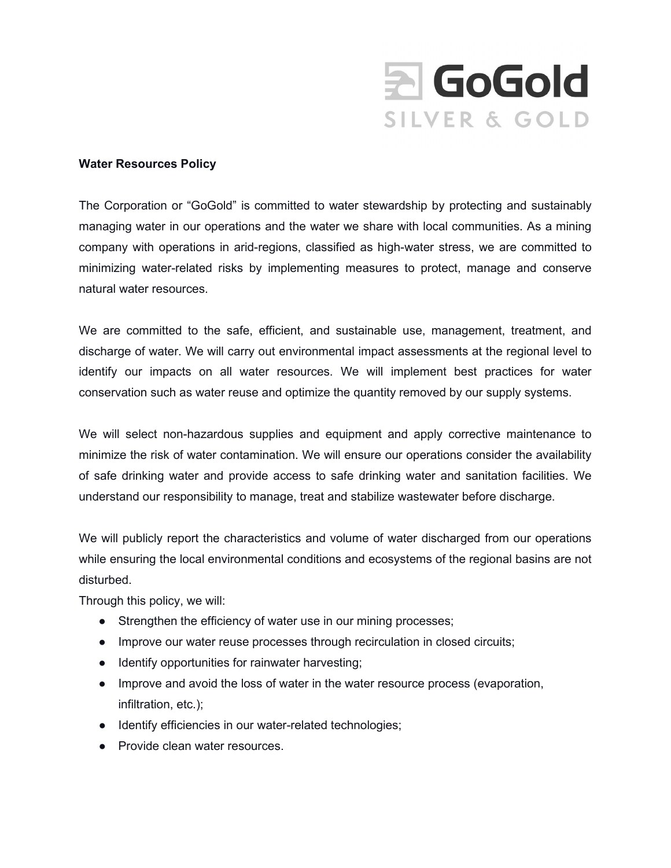

## **Water Resources Policy**

The Corporation or "GoGold" is committed to water stewardship by protecting and sustainably managing water in our operations and the water we share with local communities. As a mining company with operations in arid-regions, classified as high-water stress, we are committed to minimizing water-related risks by implementing measures to protect, manage and conserve natural water resources.

We are committed to the safe, efficient, and sustainable use, management, treatment, and discharge of water. We will carry out environmental impact assessments at the regional level to identify our impacts on all water resources. We will implement best practices for water conservation such as water reuse and optimize the quantity removed by our supply systems.

We will select non-hazardous supplies and equipment and apply corrective maintenance to minimize the risk of water contamination. We will ensure our operations consider the availability of safe drinking water and provide access to safe drinking water and sanitation facilities. We understand our responsibility to manage, treat and stabilize wastewater before discharge.

We will publicly report the characteristics and volume of water discharged from our operations while ensuring the local environmental conditions and ecosystems of the regional basins are not disturbed.

Through this policy, we will:

- Strengthen the efficiency of water use in our mining processes;
- Improve our water reuse processes through recirculation in closed circuits;
- Identify opportunities for rainwater harvesting;
- Improve and avoid the loss of water in the water resource process (evaporation, infiltration, etc.);
- Identify efficiencies in our water-related technologies;
- Provide clean water resources.